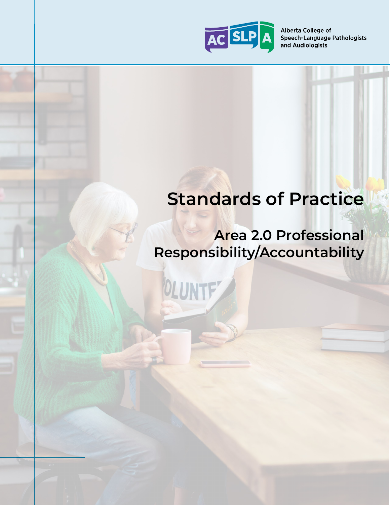

Alberta College of Speech-Language Pathologists and Audiologists

# **Standards of Practice**

# **Area 2.0 Professional Responsibility/Accountability**

OLUNTF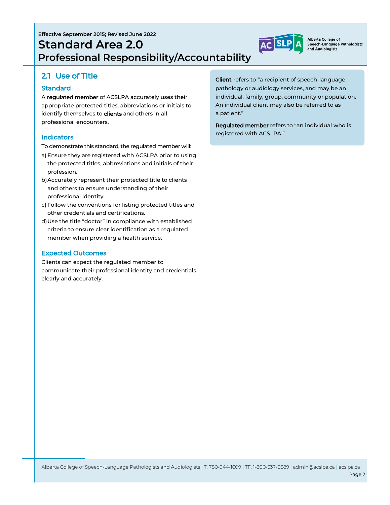# **Standard Area 2.0 Professional Responsibility/Accountability**



Alberta College of Speech-Language Pathologists and Audiologists

## 2.1 Use of Title

#### **Standard**

A regulated member of ACSLPA accurately uses their appropriate protected titles, abbreviations or initials to identify themselves to clients and others in all professional encounters.

#### **Indicators**

- To demonstrate this standard, the regulated member will:
- a) Ensure they are registered with ACSLPA prior to using the protected titles, abbreviations and initials of their profession.
- b)Accurately represent their protected title to clients and others to ensure understanding of their professional identity.
- c) Follow the conventions for listing protected titles and other credentials and certifications.
- d)Use the title "doctor" in compliance with established criteria to ensure clear identification as a regulated member when providing a health service.

#### Expected Outcomes

Clients can expect the regulated member to communicate their professional identity and credentials clearly and accurately.

Client refers to "a recipient of speech-language pathology or audiology services, and may be an individual, family, group, community or population. An individual client may also be referred to as a patient."

Regulated member refers to "an individual who is registered with ACSLPA."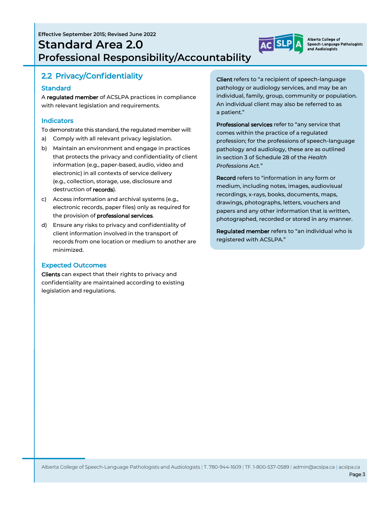**Effective September 2015; Revised June 2022**

# **Standard Area 2.0 Professional Responsibility/Accountability**



Alberta College of Speech-Language Pathologists and Audiologists

## 2.2 Privacy/Confidentiality

#### Standard

A regulated member of ACSLPA practices in compliance with relevant legislation and requirements.

#### **Indicators**

To demonstrate this standard, the regulated member will:

- a) Comply with all relevant privacy legislation.
- b) Maintain an environment and engage in practices that protects the privacy and confidentiality of client information (e.g., paper-based, audio, video and electronic) in all contexts of service delivery (e.g., collection, storage, use, disclosure and destruction of records).
- c) Access information and archival systems (e.g., electronic records, paper files) only as required for the provision of professional services.
- d) Ensure any risks to privacy and confidentiality of client information involved in the transport of records from one location or medium to another are minimized.

#### Expected Outcomes

Clients can expect that their rights to privacy and confidentiality are maintained according to existing legislation and regulations.

Client refers to "a recipient of speech-language pathology or audiology services, and may be an individual, family, group, community or population. An individual client may also be referred to as a patient."

Professional services refer to "any service that comes within the practice of a regulated profession; for the professions of speech-language pathology and audiology, these are as outlined in section 3 of Schedule 28 of the *Health Professions Act."*

Record refers to "information in any form or medium, including notes, images, audiovisual recordings, x-rays, books, documents, maps, drawings, photographs, letters, vouchers and papers and any other information that is written, photographed, recorded or stored in any manner.

Regulated member refers to "an individual who is registered with ACSLPA."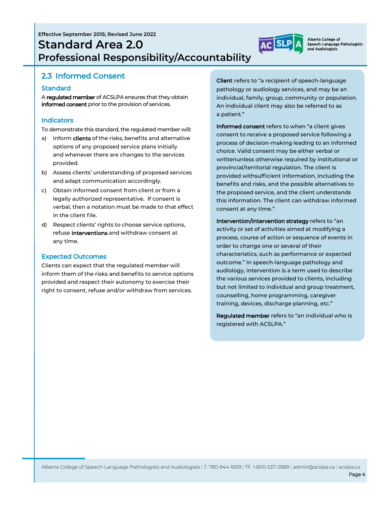**Effective September 2015; Revised June 2022 Standard Area 2.0 Professional Responsibility/Accountability**

## 2.3 Informed Consent

#### **Standard**

A regulated member of ACSLPA ensures that they obtain informed consent prior to the provision of services.

#### **Indicators**

To demonstrate this standard, the regulated member will:

- a) Inform **clients** of the risks, benefits and alternative options of any proposed service plans initially and whenever there are changes to the services provided.
- b) Assess clients' understanding of proposed services and adapt communication accordingly.
- c) Obtain informed consent from client or from a legally authorized representative. If consent is verbal, then a notation must be made to that effect in the client file.
- d) Respect clients' rights to choose service options, refuse **interventions** and withdraw consent at any time.

#### Expected Outcomes

Clients can expect that the regulated member will inform them of the risks and benefits to service options provided and respect their autonomy to exercise their right to consent, refuse and/or withdraw from services.

Client refers to "a recipient of speech-language pathology or audiology services, and may be an individual, family, group, community or population. An individual client may also be referred to as a patient."

Alberta College of Speech-Language Pathologists

and Audiologists

Informed consent refers to when "a client gives consent to receive a proposed service following a process of decision-making leading to an informed choice. Valid consent may be either verbal or writtenunless otherwise required by institutional or provincial/territorial regulation. The client is provided withsufficient information, including the benefits and risks, and the possible alternatives to the proposed service, and the client understands this information. The client can withdraw informed consent at any time."

Intervention/intervention strategy refers to "an activity or set of activities aimed at modifying a process, course of action or sequence of events in order to change one or several of their characteristics, such as performance or expected outcome." In speech-language pathology and audiology, intervention is a term used to describe the various services provided to clients, including but not limited to individual and group treatment, counselling, home programming, caregiver training, devices, discharge planning, etc."

Regulated member refers to "an individual who is registered with ACSLPA."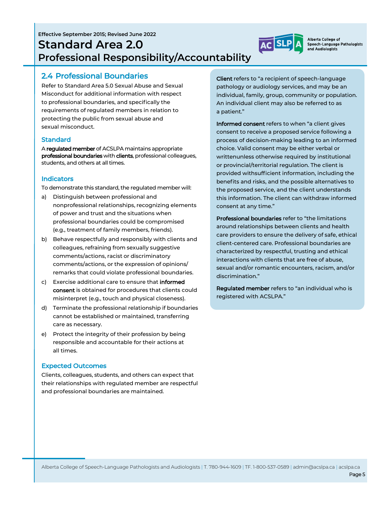**Effective September 2015; Revised June 2022**

# **Standard Area 2.0 Professional Responsibility/Accountability**

### 2.4 Professional Boundaries

Refer to Standard Area 5.0 Sexual Abuse and Sexual Misconduct for additional information with respect to professional boundaries, and specifically the requirements of regulated members in relation to protecting the public from sexual abuse and sexual misconduct.

#### **Standard**

A regulated member of ACSLPA maintains appropriate professional boundaries with clients, professional colleagues, students, and others at all times.

#### **Indicators**

To demonstrate this standard, the regulated member will:

- a) Distinguish between professional and nonprofessional relationships, recognizing elements of power and trust and the situations when professional boundaries could be compromised (e.g., treatment of family members, friends).
- b) Behave respectfully and responsibly with clients and colleagues, refraining from sexually suggestive comments/actions, racist or discriminatory comments/actions, or the expression of opinions/ remarks that could violate professional boundaries.
- c) Exercise additional care to ensure that **informed** consent is obtained for procedures that clients could misinterpret (e.g., touch and physical closeness).
- d) Terminate the professional relationship if boundaries cannot be established or maintained, transferring care as necessary.
- e) Protect the integrity of their profession by being responsible and accountable for their actions at all times.

#### Expected Outcomes

Clients, colleagues, students, and others can expect that their relationships with regulated member are respectful and professional boundaries are maintained.

Client refers to "a recipient of speech-language pathology or audiology services, and may be an individual, family, group, community or population. An individual client may also be referred to as a patient."

Informed consent refers to when "a client gives consent to receive a proposed service following a process of decision-making leading to an informed choice. Valid consent may be either verbal or writtenunless otherwise required by institutional or provincial/territorial regulation. The client is provided withsufficient information, including the benefits and risks, and the possible alternatives to the proposed service, and the client understands this information. The client can withdraw informed consent at any time."

Professional boundaries refer to "the limitations around relationships between clients and health care providers to ensure the delivery of safe, ethical client-centered care. Professional boundaries are characterized by respectful, trusting and ethical interactions with clients that are free of abuse, sexual and/or romantic encounters, racism, and/or discrimination."

Regulated member refers to "an individual who is registered with ACSLPA."



Alberta College of Speech-Language Pathologists and Audiologists